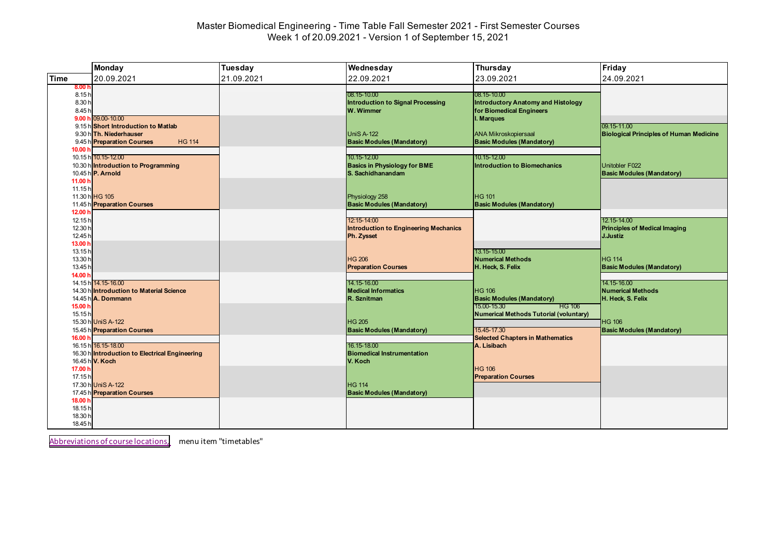# Master Biomedical Engineering - Time Table Fall Semester 2021 - First Semester Courses Week 1 of 20.09.2021 - Version 1 of September 15, 2021

|                                                              | <b>Monday</b>                                                                                                                              | Tuesday    | Wednesday                                                                                                                     | Thursday                                                                                                                                                              | Friday                                                                                                            |
|--------------------------------------------------------------|--------------------------------------------------------------------------------------------------------------------------------------------|------------|-------------------------------------------------------------------------------------------------------------------------------|-----------------------------------------------------------------------------------------------------------------------------------------------------------------------|-------------------------------------------------------------------------------------------------------------------|
| <b>Time</b>                                                  | 20.09.2021                                                                                                                                 | 21.09.2021 | 22.09.2021                                                                                                                    | 23.09.2021                                                                                                                                                            | 24.09.2021                                                                                                        |
| 8.00 <sub>h</sub><br>8.15h<br>8.30h<br>8.45h<br>9.00h        | 09.00-10.00<br>9.15 h Short Introduction to Matlab<br>9.30 h Th. Niederhauser<br>9.45 h Preparation Courses<br><b>HG 114</b>               |            | 08.15-10.00<br><b>Introduction to Signal Processing</b><br>W. Wimmer<br><b>UniS A-122</b><br><b>Basic Modules (Mandatory)</b> | 08.15-10.00<br><b>Introductory Anatomy and Histology</b><br>for Biomedical Engineers<br>I. Marques<br><b>ANA Mikroskopiersaal</b><br><b>Basic Modules (Mandatory)</b> | 09.15-11.00<br><b>Biological Principles of Human Medicine</b>                                                     |
| 10.001<br>11.00 $h$<br>11.15h                                | 10.15 h 10.15-12.00<br>10.30 h Introduction to Programming<br>10.45 h P. Arnold<br>11.30 h HG 105                                          |            | 10.15-12.00<br><b>Basics in Physiology for BME</b><br>S. Sachidhanandam<br>Physiology 258                                     | 10.15-12.00<br><b>Introduction to Biomechanics</b><br><b>HG 101</b>                                                                                                   | Unitobler F022<br><b>Basic Modules (Mandatory)</b>                                                                |
|                                                              | 11.45 h Preparation Courses                                                                                                                |            | <b>Basic Modules (Mandatory)</b>                                                                                              | <b>Basic Modules (Mandatory)</b>                                                                                                                                      |                                                                                                                   |
| 12.00 <sub>h</sub><br>12.15h<br>12.30 h<br>12.45h<br>13.00 h |                                                                                                                                            |            | 12:15-14:00<br><b>Introduction to Engineering Mechanics</b><br>Ph. Zysset                                                     |                                                                                                                                                                       | 12.15-14.00<br><b>Principles of Medical Imaging</b><br>J.Justiz                                                   |
| 13.15h<br>13.30 h<br>13.45h                                  |                                                                                                                                            |            | <b>HG 206</b><br><b>Preparation Courses</b>                                                                                   | 13.15-15.00<br><b>Numerical Methods</b><br>H. Heck, S. Felix                                                                                                          | <b>HG 114</b><br><b>Basic Modules (Mandatory)</b>                                                                 |
| 14.00 h<br>15.00 h<br>15.15h                                 | 14.15 h 14.15-16.00<br>14.30 h Introduction to Material Science<br>14.45 h A. Dommann<br>15.30 h UniS A-122<br>15.45 h Preparation Courses |            | 14.15-16.00<br><b>Medical Informatics</b><br>R. Sznitman<br><b>HG 205</b><br><b>Basic Modules (Mandatory)</b>                 | <b>HG 106</b><br><b>Basic Modules (Mandatory)</b><br><b>HG 106</b><br>15.00-15.30<br><b>Numerical Methods Tutorial (voluntary)</b><br>15.45-17.30                     | 14.15-16.00<br><b>Numerical Methods</b><br>H. Heck, S. Felix<br><b>HG 106</b><br><b>Basic Modules (Mandatory)</b> |
| 16.00 h<br>17.00 h<br>17.15h                                 | 16.15 h 16.15-18.00<br>16.30 h Introduction to Electrical Engineering<br>16.45 h V. Koch                                                   |            | 16.15-18.00<br><b>Biomedical Instrumentation</b><br>V. Koch                                                                   | <b>Selected Chapters in Mathematics</b><br>A. Lisibach<br><b>HG 106</b><br><b>Preparation Courses</b>                                                                 |                                                                                                                   |
|                                                              | 17.30 h UniS A-122<br>17.45 h Preparation Courses                                                                                          |            | <b>HG 114</b><br><b>Basic Modules (Mandatory)</b>                                                                             |                                                                                                                                                                       |                                                                                                                   |
| 18.00 h<br>18.15h<br>18.30h<br>18.45h                        |                                                                                                                                            |            |                                                                                                                               |                                                                                                                                                                       |                                                                                                                   |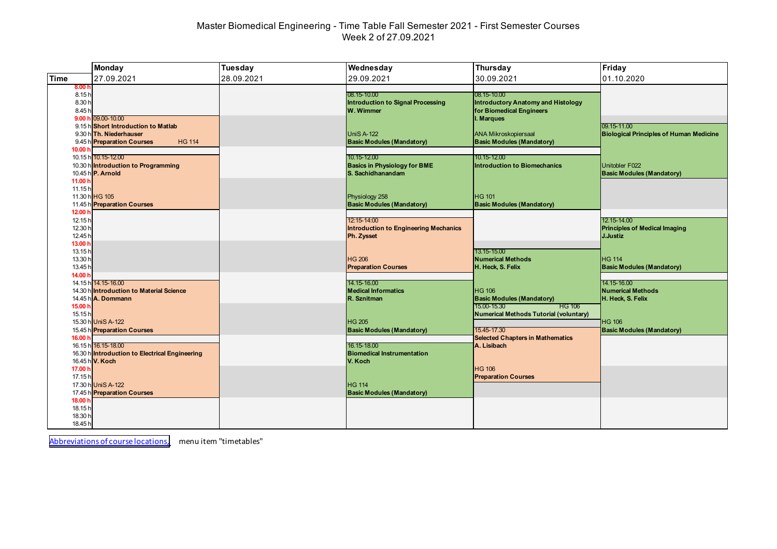# Master Biomedical Engineering - Time Table Fall Semester 2021 - First Semester Courses Week 2 of 27.09.2021

|                                                                  | <b>Monday</b>                                                                                                                              | Tuesday    | Wednesday                                                                                                                     | Thursday                                                                                                                                                              | Friday                                                                                                            |
|------------------------------------------------------------------|--------------------------------------------------------------------------------------------------------------------------------------------|------------|-------------------------------------------------------------------------------------------------------------------------------|-----------------------------------------------------------------------------------------------------------------------------------------------------------------------|-------------------------------------------------------------------------------------------------------------------|
| <b>Time</b>                                                      | 27.09.2021                                                                                                                                 | 28.09.2021 | 29.09.2021                                                                                                                    | 30.09.2021                                                                                                                                                            | 01.10.2020                                                                                                        |
| 8.001<br>8.15h<br>8.30 h<br>8.45h<br>9.00h<br>10.00 <sub>b</sub> | 09.00-10.00<br>9.15 h Short Introduction to Matlab<br>9.30 h <sub>1</sub> Th. Niederhauser<br>9.45 h Preparation Courses<br><b>HG 114</b>  |            | 08.15-10.00<br><b>Introduction to Signal Processing</b><br>W. Wimmer<br><b>UniS A-122</b><br><b>Basic Modules (Mandatory)</b> | 08.15-10.00<br><b>Introductory Anatomy and Histology</b><br>for Biomedical Engineers<br>I. Marques<br><b>ANA Mikroskopiersaal</b><br><b>Basic Modules (Mandatory)</b> | 09.15-11.00<br><b>Biological Principles of Human Medicine</b>                                                     |
| 11.00 h                                                          | 10.15 h 10.15-12.00<br>10.30 h Introduction to Programming<br>10.45 h P. Arnold                                                            |            | 10.15-12.00<br><b>Basics in Physiology for BME</b><br>S. Sachidhanandam                                                       | 10.15-12.00<br><b>Introduction to Biomechanics</b>                                                                                                                    | Unitobler F022<br><b>Basic Modules (Mandatory)</b>                                                                |
| 11.15h<br>12.00 <sub>h</sub>                                     | 11.30 h HG 105<br>11.45 h Preparation Courses                                                                                              |            | Physiology 258<br><b>Basic Modules (Mandatory)</b>                                                                            | <b>HG 101</b><br><b>Basic Modules (Mandatory)</b>                                                                                                                     |                                                                                                                   |
| 12.15h<br>12.30 h<br>12.45h<br>13.00 h                           |                                                                                                                                            |            | 12:15-14:00<br><b>Introduction to Engineering Mechanics</b><br>Ph. Zysset                                                     |                                                                                                                                                                       | 12.15-14.00<br><b>Principles of Medical Imaging</b><br><b>J.Justiz</b>                                            |
| 13.15h<br>13.30 h<br>13.45h<br>14.00 h                           |                                                                                                                                            |            | <b>HG 206</b><br><b>Preparation Courses</b>                                                                                   | 13.15-15.00<br><b>Numerical Methods</b><br>H. Heck, S. Felix                                                                                                          | <b>HG 114</b><br><b>Basic Modules (Mandatory)</b>                                                                 |
| 15.00 h<br>15.15h                                                | 14.15 h 14.15-16.00<br>14.30 h Introduction to Material Science<br>14.45 h A. Dommann<br>15.30 h UniS A-122<br>15.45 h Preparation Courses |            | 14.15-16.00<br><b>Medical Informatics</b><br>R. Sznitman<br><b>HG 205</b><br><b>Basic Modules (Mandatory)</b>                 | <b>HG 106</b><br><b>Basic Modules (Mandatory)</b><br>15.00-15.30<br><b>HG 106</b><br><b>Numerical Methods Tutorial (voluntary)</b><br>15.45-17.30                     | 14.15-16.00<br><b>Numerical Methods</b><br>H. Heck, S. Felix<br><b>HG 106</b><br><b>Basic Modules (Mandatory)</b> |
| 16.00 h                                                          | 16.15 h 16.15-18.00<br>16.30 h Introduction to Electrical Engineering<br>16.45 h V. Koch                                                   |            | 16.15-18.00<br><b>Biomedical Instrumentation</b><br>V. Koch                                                                   | <b>Selected Chapters in Mathematics</b><br>A. Lisibach                                                                                                                |                                                                                                                   |
| 17.00 h<br>17.15h                                                | 17.30 h UniS A-122<br>17.45 h Preparation Courses                                                                                          |            | <b>HG 114</b><br><b>Basic Modules (Mandatory)</b>                                                                             | <b>HG 106</b><br><b>Preparation Courses</b>                                                                                                                           |                                                                                                                   |
| 18.00 h<br>18.15h<br>18.30 h<br>18.45h                           |                                                                                                                                            |            |                                                                                                                               |                                                                                                                                                                       |                                                                                                                   |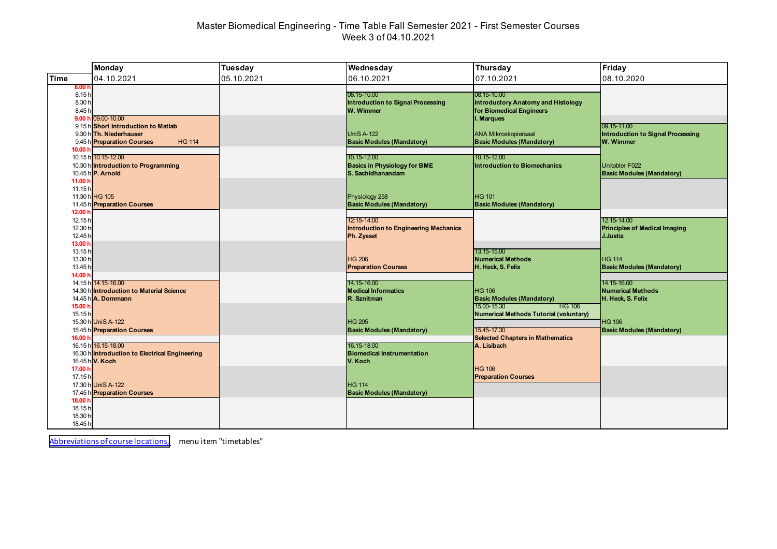# Master Biomedical Engineering - Time Table Fall Semester 2021 - First Semester Courses Week 3 of 04.10.2021

|                                                       | <b>Monday</b>                                                                                 | Tuesday    | Wednesday                                                                 | Thursday                                                                                                                    | Friday                                                          |
|-------------------------------------------------------|-----------------------------------------------------------------------------------------------|------------|---------------------------------------------------------------------------|-----------------------------------------------------------------------------------------------------------------------------|-----------------------------------------------------------------|
| <b>Time</b>                                           | 04.10.2021                                                                                    | 05.10.2021 | 06.10.2021                                                                | 07.10.2021                                                                                                                  | 08.10.2020                                                      |
| 8.00 <sub>h</sub><br>8.15h<br>8.30h<br>8.45h<br>9.00h | 09.00-10.00<br>9.15 h Short Introduction to Matlab                                            |            | 08.15-10.00<br><b>Introduction to Signal Processing</b><br>W. Wimmer      | 08.15-10.00<br><b>Introductory Anatomy and Histology</b><br>for Biomedical Engineers<br>I. Marques                          | 09.15-11.00                                                     |
| 10.00 $h$                                             | 9.30 h Th. Niederhauser<br>9.45 h Preparation Courses<br><b>HG 114</b><br>10.15 h 10.15-12.00 |            | $UniS A-122$<br><b>Basic Modules (Mandatory)</b><br>10.15-12.00           | <b>ANA Mikroskopiersaal</b><br><b>Basic Modules (Mandatory)</b><br>10.15-12.00                                              | Introduction to Signal Processing<br>W. Wimmer                  |
| 11.00 h<br>11.15h                                     | 10.30 h Introduction to Programming<br>10.45 h P. Arnold                                      |            | <b>Basics in Physiology for BME</b><br>S. Sachidhanandam                  | <b>Introduction to Biomechanics</b>                                                                                         | Unitobler F022<br><b>Basic Modules (Mandatory)</b>              |
| 12.00 <sub>h</sub>                                    | 11.30 h HG 105<br>11.45 h Preparation Courses                                                 |            | Physiology 258<br><b>Basic Modules (Mandatory)</b>                        | <b>HG 101</b><br><b>Basic Modules (Mandatory)</b>                                                                           |                                                                 |
| 12.15h<br>12.30 h<br>12.45h<br>13.00 h                |                                                                                               |            | 12:15-14:00<br><b>Introduction to Engineering Mechanics</b><br>Ph. Zysset |                                                                                                                             | 12.15-14.00<br><b>Principles of Medical Imaging</b><br>J.Justiz |
| 13.15h<br>13.30 h<br>13.45h<br>14.00 h                |                                                                                               |            | <b>HG 206</b><br><b>Preparation Courses</b>                               | 13.15-15.00<br><b>Numerical Methods</b><br>H. Heck, S. Felix                                                                | <b>HG 114</b><br><b>Basic Modules (Mandatory)</b>               |
| 15.00 h<br>15.15h                                     | 14.15 h 14.15-16.00<br>14.30 h Introduction to Material Science<br>14.45 h A. Dommann         |            | 14.15-16.00<br><b>Medical Informatics</b><br>R. Sznitman                  | <b>HG 106</b><br><b>Basic Modules (Mandatory)</b><br>15.00-15.30<br>HG 106<br><b>Numerical Methods Tutorial (voluntary)</b> | 14.15-16.00<br><b>Numerical Methods</b><br>H. Heck, S. Felix    |
| 16.00 h                                               | 15.30 h UniS A-122<br>15.45 h Preparation Courses                                             |            | <b>HG 205</b><br><b>Basic Modules (Mandatory)</b>                         | 15.45-17.30<br><b>Selected Chapters in Mathematics</b>                                                                      | <b>HG 106</b><br><b>Basic Modules (Mandatory)</b>               |
| 17.00 h                                               | 16.15 h 16.15-18.00<br>16.30 h Introduction to Electrical Engineering<br>16.45 h V. Koch      |            | 16.15-18.00<br><b>Biomedical Instrumentation</b><br>V. Koch               | A. Lisibach<br><b>HG 106</b>                                                                                                |                                                                 |
| 17.15h                                                | 17.30 h UniS A-122<br>17.45 h Preparation Courses                                             |            | <b>HG 114</b><br><b>Basic Modules (Mandatory)</b>                         | <b>Preparation Courses</b>                                                                                                  |                                                                 |
| 18.00 h<br>18.15h<br>18.30h<br>18.45h                 |                                                                                               |            |                                                                           |                                                                                                                             |                                                                 |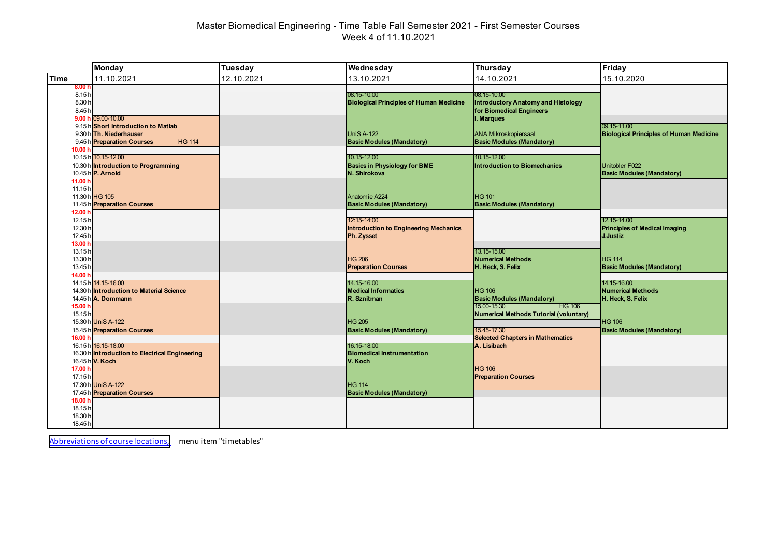# Master Biomedical Engineering - Time Table Fall Semester 2021 - First Semester Courses Week 4 of 11.10.2021

|                                         | <b>Monday</b>                                                                                                                  | <b>Tuesday</b> | Wednesday                                                                                              | Thursday                                                                                                                           | Friday                                                                        |
|-----------------------------------------|--------------------------------------------------------------------------------------------------------------------------------|----------------|--------------------------------------------------------------------------------------------------------|------------------------------------------------------------------------------------------------------------------------------------|-------------------------------------------------------------------------------|
| <b>Time</b>                             | 11.10.2021                                                                                                                     | 12.10.2021     | 13.10.2021                                                                                             | 14.10.2021                                                                                                                         | 15.10.2020                                                                    |
| 8.00h<br>8.15h<br>8.30h<br>8.45h        | 9.00 h 09.00-10.00<br>9.15 h Short Introduction to Matlab<br>9.30 h Th. Niederhauser                                           |                | 08.15-10.00<br><b>Biological Principles of Human Medicine</b><br>$UniS A-122$                          | 08.15-10.00<br><b>Introductory Anatomy and Histology</b><br>for Biomedical Engineers<br>I. Marques<br><b>ANA Mikroskopiersaal</b>  | 09.15-11.00<br><b>Biological Principles of Human Medicine</b>                 |
| 10.00 h<br>11.00 h                      | 9.45 h Preparation Courses<br><b>HG 114</b><br>10.15 h 10.15-12.00<br>10.30 h Introduction to Programming<br>10.45 h P. Arnold |                | <b>Basic Modules (Mandatory)</b><br>10.15-12.00<br><b>Basics in Physiology for BME</b><br>N. Shirokova | <b>Basic Modules (Mandatory)</b><br>10.15-12.00<br><b>Introduction to Biomechanics</b>                                             | Unitobler F022<br><b>Basic Modules (Mandatory)</b>                            |
| 11.15h<br>12.00 $r$                     | 11.30 h HG 105<br>11.45 h Preparation Courses                                                                                  |                | Anatomie A224<br><b>Basic Modules (Mandatory)</b>                                                      | <b>HG 101</b><br><b>Basic Modules (Mandatory)</b>                                                                                  |                                                                               |
| 12.15h<br>12.30 h<br>12.45 h<br>13.00 h |                                                                                                                                |                | 12:15-14:00<br><b>Introduction to Engineering Mechanics</b><br>Ph. Zysset                              | 13.15-15.00                                                                                                                        | 12.15-14.00<br><b>Principles of Medical Imaging</b><br><b>J.Justiz</b>        |
| 13.15h<br>13.30 h<br>13.45h<br>14.00 h  |                                                                                                                                |                | <b>HG 206</b><br><b>Preparation Courses</b>                                                            | <b>Numerical Methods</b><br>H. Heck, S. Felix                                                                                      | <b>HG 114</b><br><b>Basic Modules (Mandatory)</b>                             |
| 15.00 h<br>15.15h                       | 14.15 h 14.15-16.00<br>14.30 h Introduction to Material Science<br>14.45 h A. Dommann<br>15.30 h UniS A-122                    |                | 14.15-16.00<br><b>Medical Informatics</b><br>R. Sznitman<br><b>HG 205</b>                              | <b>HG 106</b><br><b>Basic Modules (Mandatory)</b><br>15.00-15.30<br><b>HG 106</b><br><b>Numerical Methods Tutorial (voluntary)</b> | 14.15-16.00<br><b>Numerical Methods</b><br>H. Heck, S. Felix<br><b>HG 106</b> |
| 16.00 h                                 | 15.45 h Preparation Courses<br>16.15 h 16.15-18.00<br>16.30 h Introduction to Electrical Engineering<br>16.45 h V. Koch        |                | <b>Basic Modules (Mandatory)</b><br>16.15-18.00<br><b>Biomedical Instrumentation</b><br>V. Koch        | 15.45-17.30<br><b>Selected Chapters in Mathematics</b><br>A. Lisibach                                                              | <b>Basic Modules (Mandatory)</b>                                              |
| 17.00 h<br>17.15h                       | 17.30 h UniS A-122<br>17.45 h Preparation Courses                                                                              |                | <b>HG 114</b><br><b>Basic Modules (Mandatory)</b>                                                      | <b>HG 106</b><br><b>Preparation Courses</b>                                                                                        |                                                                               |
| 18.00 h<br>18.15h<br>18.30h<br>18.45h   |                                                                                                                                |                |                                                                                                        |                                                                                                                                    |                                                                               |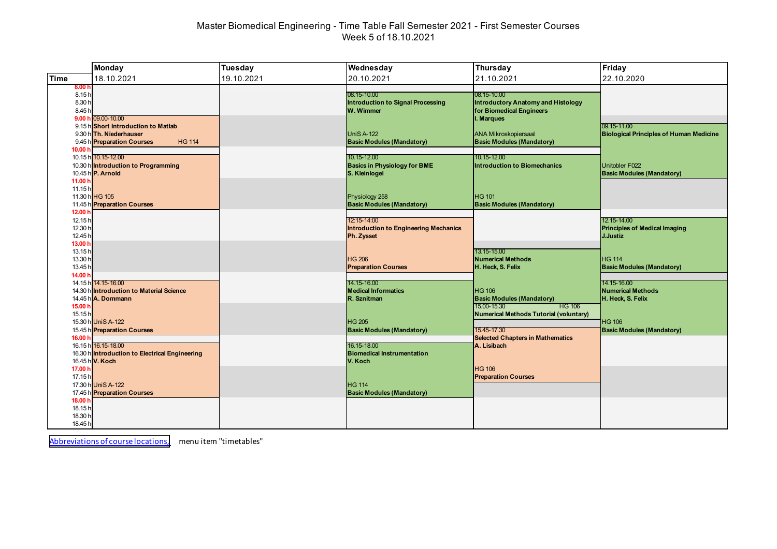# Master Biomedical Engineering - Time Table Fall Semester 2021 - First Semester Courses Week 5 of 18.10.2021

|                                                                                  | <b>Monday</b>                                                                                                                                              | <b>Tuesday</b> | Wednesday                                                                                                                               | Thursday                                                                                                                                                                             | Friday                                                                                                                      |
|----------------------------------------------------------------------------------|------------------------------------------------------------------------------------------------------------------------------------------------------------|----------------|-----------------------------------------------------------------------------------------------------------------------------------------|--------------------------------------------------------------------------------------------------------------------------------------------------------------------------------------|-----------------------------------------------------------------------------------------------------------------------------|
| <b>Time</b>                                                                      | 18.10.2021                                                                                                                                                 | 19.10.2021     | 20.10.2021                                                                                                                              | 21.10.2021                                                                                                                                                                           | 22.10.2020                                                                                                                  |
| 8.00h<br>8.15h<br>8.30h<br>8.45h<br>10.00 h                                      | 9.00 h 09.00-10.00<br>9.15 h Short Introduction to Matlab<br>9.30 h Th. Niederhauser<br>9.45 h Preparation Courses<br><b>HG 114</b><br>10.15 h 10.15-12.00 |                | 08.15-10.00<br><b>Introduction to Signal Processing</b><br>W. Wimmer<br>$UniS A-122$<br><b>Basic Modules (Mandatory)</b><br>10.15-12.00 | 08.15-10.00<br><b>Introductory Anatomy and Histology</b><br>for Biomedical Engineers<br>I. Marques<br><b>ANA Mikroskopiersaal</b><br><b>Basic Modules (Mandatory)</b><br>10.15-12.00 | 09.15-11.00<br><b>Biological Principles of Human Medicine</b>                                                               |
| 11.00 h<br>11.15h<br>12.00 $r$                                                   | 10.30 h Introduction to Programming<br>10.45 h P. Arnold<br>11.30 h HG 105<br>11.45 h Preparation Courses                                                  |                | <b>Basics in Physiology for BME</b><br>S. Kleinlogel<br>Physiology 258<br><b>Basic Modules (Mandatory)</b>                              | <b>Introduction to Biomechanics</b><br><b>HG 101</b><br><b>Basic Modules (Mandatory)</b>                                                                                             | Unitobler F022<br><b>Basic Modules (Mandatory)</b>                                                                          |
| 12.15h<br>12.30 h<br>12.45h<br>13.00 h<br>13.15h<br>13.30 h<br>13.45h<br>14.00 h |                                                                                                                                                            |                | 12:15-14:00<br><b>Introduction to Engineering Mechanics</b><br>Ph. Zysset<br><b>HG 206</b><br><b>Preparation Courses</b>                | 13.15-15.00<br><b>Numerical Methods</b><br>H. Heck, S. Felix                                                                                                                         | 12.15-14.00<br><b>Principles of Medical Imaging</b><br><b>J.Justiz</b><br><b>HG 114</b><br><b>Basic Modules (Mandatory)</b> |
| 15.00 h<br>15.15h                                                                | 14.15 h 14.15-16.00<br>14.30 h Introduction to Material Science<br>14.45 h A. Dommann<br>15.30 h UniS A-122<br>15.45 h Preparation Courses                 |                | 14.15-16.00<br><b>Medical Informatics</b><br>R. Sznitman<br><b>HG 205</b><br><b>Basic Modules (Mandatory)</b>                           | <b>HG 106</b><br><b>Basic Modules (Mandatory)</b><br>15.00-15.30<br><b>HG 106</b><br><b>Numerical Methods Tutorial (voluntary)</b><br>15.45-17.30                                    | 14.15-16.00<br><b>Numerical Methods</b><br>H. Heck, S. Felix<br><b>HG 106</b><br><b>Basic Modules (Mandatory)</b>           |
| 16.00 h<br>17.00 h<br>17.15h                                                     | 16.15 h 16.15-18.00<br>16.30 h Introduction to Electrical Engineering<br>16.45 h V. Koch<br>17.30 h UniS A-122<br>17.45 h Preparation Courses              |                | 16.15-18.00<br><b>Biomedical Instrumentation</b><br>V. Koch<br><b>HG 114</b><br><b>Basic Modules (Mandatory)</b>                        | <b>Selected Chapters in Mathematics</b><br>A. Lisibach<br><b>HG 106</b><br><b>Preparation Courses</b>                                                                                |                                                                                                                             |
| 18.00 h<br>18.15h<br>18.30h<br>18.45h                                            |                                                                                                                                                            |                |                                                                                                                                         |                                                                                                                                                                                      |                                                                                                                             |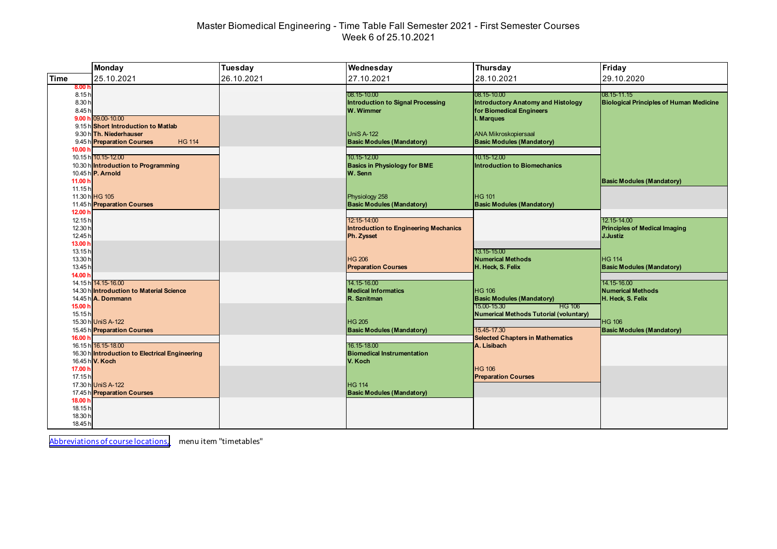# Master Biomedical Engineering - Time Table Fall Semester 2021 - First Semester Courses Week 6 of 25.10.2021

|                    | <b>Monday</b>                                  | Tuesday    | Wednesday                                             | Thursday                                                         | Friday                                         |
|--------------------|------------------------------------------------|------------|-------------------------------------------------------|------------------------------------------------------------------|------------------------------------------------|
| <b>Time</b>        | 25.10.2021                                     | 26.10.2021 | 27.10.2021                                            | 28.10.2021                                                       | 29.10.2020                                     |
| 8.00h              |                                                |            |                                                       |                                                                  |                                                |
| 8.15h              |                                                |            | 08.15-10.00                                           | $ 08.15 - 10.00 $                                                | 08.15-11.15                                    |
| 8.30h<br>8.45h     |                                                |            | <b>Introduction to Signal Processing</b><br>W. Wimmer | Introductory Anatomy and Histology<br>for Biomedical Engineers   | <b>Biological Principles of Human Medicine</b> |
|                    | 9.00 h 09.00-10.00                             |            |                                                       | I. Marques                                                       |                                                |
|                    | 9.15 h Short Introduction to Matlab            |            |                                                       |                                                                  |                                                |
|                    | 9.30 h Th. Niederhauser                        |            | <b>UniS A-122</b>                                     | <b>ANA Mikroskopiersaal</b>                                      |                                                |
|                    | 9.45 h Preparation Courses<br><b>HG 114</b>    |            | <b>Basic Modules (Mandatory)</b>                      | <b>Basic Modules (Mandatory)</b>                                 |                                                |
| 10.00 <sub>1</sub> |                                                |            |                                                       |                                                                  |                                                |
|                    | 10.15 h 10.15-12.00                            |            | 10.15-12.00                                           | 10.15-12.00                                                      |                                                |
|                    | 10.30 h Introduction to Programming            |            | <b>Basics in Physiology for BME</b>                   | Introduction to Biomechanics                                     |                                                |
| 11.00 h            | 10.45 h P. Arnold                              |            | W. Senn                                               |                                                                  | <b>Basic Modules (Mandatory)</b>               |
| 11.15h             |                                                |            |                                                       |                                                                  |                                                |
|                    | 11.30 h HG 105                                 |            | Physiology 258                                        | <b>HG 101</b>                                                    |                                                |
|                    | 11.45 h Preparation Courses                    |            | <b>Basic Modules (Mandatory)</b>                      | <b>Basic Modules (Mandatory)</b>                                 |                                                |
| 12.00 <sub>1</sub> |                                                |            |                                                       |                                                                  |                                                |
| 12.15h             |                                                |            | 12:15-14:00                                           |                                                                  | 12.15-14.00                                    |
| 12.30 h            |                                                |            | <b>Introduction to Engineering Mechanics</b>          |                                                                  | <b>Principles of Medical Imaging</b>           |
| 12.45h<br>13.00 h  |                                                |            | Ph. Zysset                                            |                                                                  | J.Justiz                                       |
| 13.15h             |                                                |            |                                                       | 13.15-15.00                                                      |                                                |
| 13.30 h            |                                                |            | <b>HG 206</b>                                         | <b>Numerical Methods</b>                                         | <b>HG 114</b>                                  |
| 13.45h             |                                                |            | <b>Preparation Courses</b>                            | H. Heck, S. Felix                                                | <b>Basic Modules (Mandatory)</b>               |
| 14.00 h            |                                                |            |                                                       |                                                                  |                                                |
|                    | 14.15 h 14.15-16.00                            |            | 14.15-16.00                                           |                                                                  | 14.15-16.00                                    |
|                    | 14.30 h Introduction to Material Science       |            | <b>Medical Informatics</b>                            | <b>HG</b> 106                                                    | <b>Numerical Methods</b>                       |
|                    | 14.45 h A. Dommann                             |            | R. Sznitman                                           | <b>Basic Modules (Mandatory)</b><br>15.00-15.30<br><b>HG 106</b> | H. Heck, S. Felix                              |
| 15.00 h<br>15.15h  |                                                |            |                                                       | Numerical Methods Tutorial (voluntary)                           |                                                |
|                    | 15.30 h UniS A-122                             |            | <b>HG 205</b>                                         |                                                                  | <b>HG 106</b>                                  |
|                    | 15.45 h Preparation Courses                    |            | <b>Basic Modules (Mandatory)</b>                      | 15.45-17.30                                                      | <b>Basic Modules (Mandatory)</b>               |
| 16.00 h            |                                                |            |                                                       | <b>Selected Chapters in Mathematics</b>                          |                                                |
|                    | 16.15 h 16.15-18.00                            |            | 16.15-18.00                                           | A. Lisibach                                                      |                                                |
|                    | 16.30 h Introduction to Electrical Engineering |            | <b>Biomedical Instrumentation</b>                     |                                                                  |                                                |
|                    | 16.45 h V. Koch                                |            | V. Koch                                               |                                                                  |                                                |
| 17.00 h<br>17.15h  |                                                |            |                                                       | <b>HG 106</b><br><b>Preparation Courses</b>                      |                                                |
|                    | 17.30 h UniS A-122                             |            | <b>HG 114</b>                                         |                                                                  |                                                |
|                    | 17.45 h Preparation Courses                    |            | <b>Basic Modules (Mandatory)</b>                      |                                                                  |                                                |
| 18.00 h            |                                                |            |                                                       |                                                                  |                                                |
| 18.15h             |                                                |            |                                                       |                                                                  |                                                |
| 18.30 h            |                                                |            |                                                       |                                                                  |                                                |
| 18.45h             |                                                |            |                                                       |                                                                  |                                                |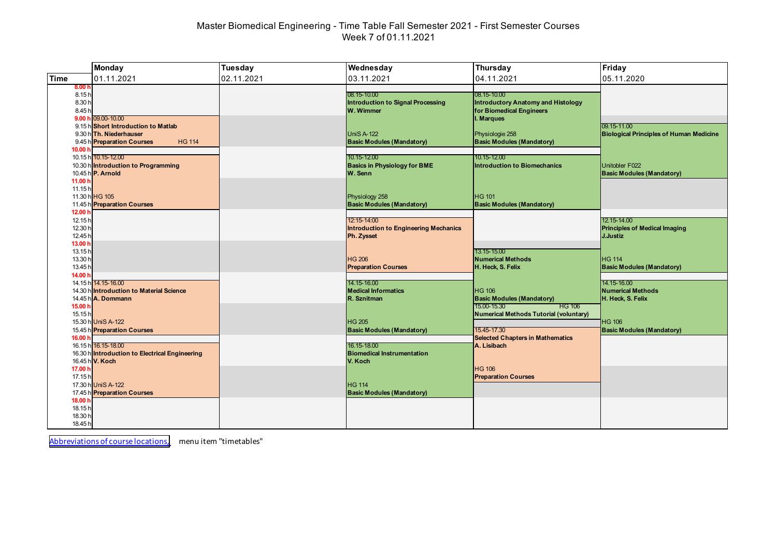# Master Biomedical Engineering - Time Table Fall Semester 2021 - First Semester Courses Week 7 of 01.11.2021

|                                                                        | <b>Monday</b>                                                                                                                                                                              | Tuesday    | Wednesday                                                                                                                                                                           | Thursday                                                                                                                                                                                                 | Friday                                                                                                            |
|------------------------------------------------------------------------|--------------------------------------------------------------------------------------------------------------------------------------------------------------------------------------------|------------|-------------------------------------------------------------------------------------------------------------------------------------------------------------------------------------|----------------------------------------------------------------------------------------------------------------------------------------------------------------------------------------------------------|-------------------------------------------------------------------------------------------------------------------|
| <b>Time</b>                                                            | 01.11.2021                                                                                                                                                                                 | 02.11.2021 | 03.11.2021                                                                                                                                                                          | 04.11.2021                                                                                                                                                                                               | 05.11.2020                                                                                                        |
| 8.001<br>8.15h<br>8.30 h<br>8.45h<br>9.00h<br>10.00 <sub>b</sub>       | 09.00-10.00<br>9.15 h Short Introduction to Matlab<br>9.30 h Th. Niederhauser<br>9.45 h Preparation Courses<br><b>HG 114</b><br>10.15 h 10.15-12.00<br>10.30 h Introduction to Programming |            | 08.15-10.00<br><b>Introduction to Signal Processing</b><br>W. Wimmer<br><b>UniS A-122</b><br><b>Basic Modules (Mandatory)</b><br>10.15-12.00<br><b>Basics in Physiology for BME</b> | 08.15-10.00<br><b>Introductory Anatomy and Histology</b><br>for Biomedical Engineers<br>I. Marques<br>Physiologie 258<br><b>Basic Modules (Mandatory)</b><br>10.15-12.00<br>Introduction to Biomechanics | 09.15-11.00<br><b>Biological Principles of Human Medicine</b><br>Unitobler F022                                   |
| 11.00 h<br>11.15h<br>12.00 $h$<br>12.15h                               | 10.45 h P. Arnold<br>11.30 h HG 105<br>11.45 h Preparation Courses                                                                                                                         |            | W. Senn<br>Physiology 258<br><b>Basic Modules (Mandatory)</b><br>12:15-14:00                                                                                                        | <b>HG 101</b><br><b>Basic Modules (Mandatory)</b>                                                                                                                                                        | <b>Basic Modules (Mandatory)</b><br>12.15-14.00                                                                   |
| 12.30 h<br>12.45h<br>13.00 h<br>13.15h<br>13.30 h<br>13.45h<br>14.00 h |                                                                                                                                                                                            |            | <b>Introduction to Engineering Mechanics</b><br>Ph. Zysset<br><b>HG 206</b><br><b>Preparation Courses</b>                                                                           | 13.15-15.00<br><b>Numerical Methods</b><br>H. Heck, S. Felix                                                                                                                                             | <b>Principles of Medical Imaging</b><br><b>J.Justiz</b><br><b>HG 114</b><br><b>Basic Modules (Mandatory)</b>      |
| 15.00 h<br>15.15h                                                      | 14.15 h 14.15-16.00<br>14.30 h Introduction to Material Science<br>14.45 h A. Dommann<br>15.30 h UniS A-122<br>15.45 h Preparation Courses                                                 |            | 14.15-16.00<br><b>Medical Informatics</b><br>R. Sznitman<br><b>HG 205</b><br><b>Basic Modules (Mandatory)</b>                                                                       | <b>HG 106</b><br><b>Basic Modules (Mandatory)</b><br>15.00-15.30<br>HG 106<br><b>Numerical Methods Tutorial (voluntary)</b><br>15.45-17.30                                                               | 14.15-16.00<br><b>Numerical Methods</b><br>H. Heck, S. Felix<br><b>HG 106</b><br><b>Basic Modules (Mandatory)</b> |
| 16.00 h<br>17.00 h<br>17.15h                                           | 16.15 h 16.15-18.00<br>16.30 h Introduction to Electrical Engineering<br>16.45 h V. Koch<br>17.30 h UniS A-122<br>17.45 h Preparation Courses                                              |            | 16.15-18.00<br><b>Biomedical Instrumentation</b><br>V. Koch<br><b>HG 114</b><br><b>Basic Modules (Mandatory)</b>                                                                    | <b>Selected Chapters in Mathematics</b><br>A. Lisibach<br><b>HG 106</b><br><b>Preparation Courses</b>                                                                                                    |                                                                                                                   |
| 18.00 h<br>18.15h<br>18.30 h<br>18.45h                                 |                                                                                                                                                                                            |            |                                                                                                                                                                                     |                                                                                                                                                                                                          |                                                                                                                   |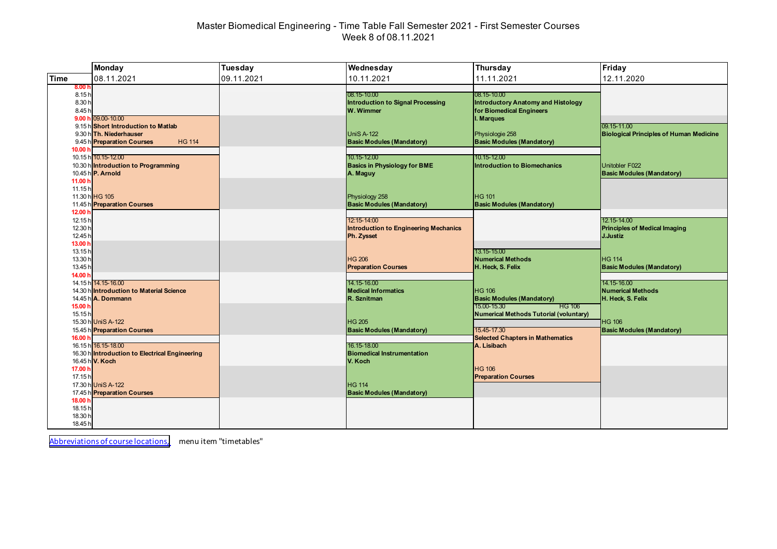# Master Biomedical Engineering - Time Table Fall Semester 2021 - First Semester Courses Week 8 of 08.11.2021

|                                                             | <b>Monday</b>                                                                                                                                                               | Tuesday    | Wednesday                                                                                                   | Thursday                                                                                                                           | Friday                                                                                  |
|-------------------------------------------------------------|-----------------------------------------------------------------------------------------------------------------------------------------------------------------------------|------------|-------------------------------------------------------------------------------------------------------------|------------------------------------------------------------------------------------------------------------------------------------|-----------------------------------------------------------------------------------------|
| <b>Time</b>                                                 | 08.11.2021                                                                                                                                                                  | 09.11.2021 | 10.11.2021                                                                                                  | 11.11.2021                                                                                                                         | 12.11.2020                                                                              |
| 8.00 <sub>h</sub><br>8.15h<br>8.30h<br>8.45h<br>9.00h       | 09.00-10.00                                                                                                                                                                 |            | 08.15-10.00<br><b>Introduction to Signal Processing</b><br>W. Wimmer                                        | 08.15-10.00<br><b>Introductory Anatomy and Histology</b><br>for Biomedical Engineers<br>I. Marques                                 |                                                                                         |
| 10.00 $h$                                                   | 9.15 h Short Introduction to Matlab<br>9.30 h Th. Niederhauser<br>9.45 h Preparation Courses<br><b>HG 114</b><br>10.15 h 10.15-12.00<br>10.30 h Introduction to Programming |            | <b>UniS A-122</b><br><b>Basic Modules (Mandatory)</b><br>10.15-12.00<br><b>Basics in Physiology for BME</b> | Physiologie 258<br><b>Basic Modules (Mandatory)</b><br>10.15-12.00<br>Introduction to Biomechanics                                 | 09.15-11.00<br><b>Biological Principles of Human Medicine</b><br>Unitobler F022         |
| 11.00 h<br>11.15h<br>12.00 <sub>h</sub>                     | 10.45 h P. Arnold<br>11.30 h HG 105<br>11.45 h Preparation Courses                                                                                                          |            | A. Maguy<br>Physiology 258<br><b>Basic Modules (Mandatory)</b>                                              | <b>HG 101</b><br><b>Basic Modules (Mandatory)</b>                                                                                  | <b>Basic Modules (Mandatory)</b>                                                        |
| 12.15h<br>12.30 h<br>12.45h<br>13.00 h<br>13.15h<br>13.30 h |                                                                                                                                                                             |            | 12:15-14:00<br><b>Introduction to Engineering Mechanics</b><br>Ph. Zysset<br><b>HG 206</b>                  | 13.15-15.00<br><b>Numerical Methods</b>                                                                                            | 12.15-14.00<br><b>Principles of Medical Imaging</b><br><b>J.Justiz</b><br><b>HG 114</b> |
| 13.45h<br>14.00 h                                           | 14.15 h 14.15-16.00                                                                                                                                                         |            | <b>Preparation Courses</b><br>14.15-16.00                                                                   | H. Heck, S. Felix                                                                                                                  | <b>Basic Modules (Mandatory)</b><br>14.15-16.00                                         |
| 15.00 h<br>15.15h                                           | 14.30 h Introduction to Material Science<br>14.45 h A. Dommann<br>15.30 h UniS A-122                                                                                        |            | <b>Medical Informatics</b><br>R. Sznitman<br><b>HG 205</b>                                                  | <b>HG 106</b><br><b>Basic Modules (Mandatory)</b><br>15.00-15.30<br><b>HG 106</b><br><b>Numerical Methods Tutorial (voluntary)</b> | <b>Numerical Methods</b><br>H. Heck, S. Felix<br><b>HG 106</b>                          |
| 16.00 h                                                     | 15.45 h Preparation Courses<br>16.15 h 16.15-18.00<br>16.30 h Introduction to Electrical Engineering<br>16.45 h V. Koch                                                     |            | <b>Basic Modules (Mandatory)</b><br>16.15-18.00<br><b>Biomedical Instrumentation</b><br>V. Koch             | 15.45-17.30<br><b>Selected Chapters in Mathematics</b><br>A. Lisibach                                                              | <b>Basic Modules (Mandatory)</b>                                                        |
| 17.00 h<br>17.15h<br>18.00 h                                | 17.30 h UniS A-122<br>17.45 h Preparation Courses                                                                                                                           |            | <b>HG 114</b><br><b>Basic Modules (Mandatory)</b>                                                           | <b>HG 106</b><br><b>Preparation Courses</b>                                                                                        |                                                                                         |
| 18.15h<br>18.30 h<br>18.45h                                 |                                                                                                                                                                             |            |                                                                                                             |                                                                                                                                    |                                                                                         |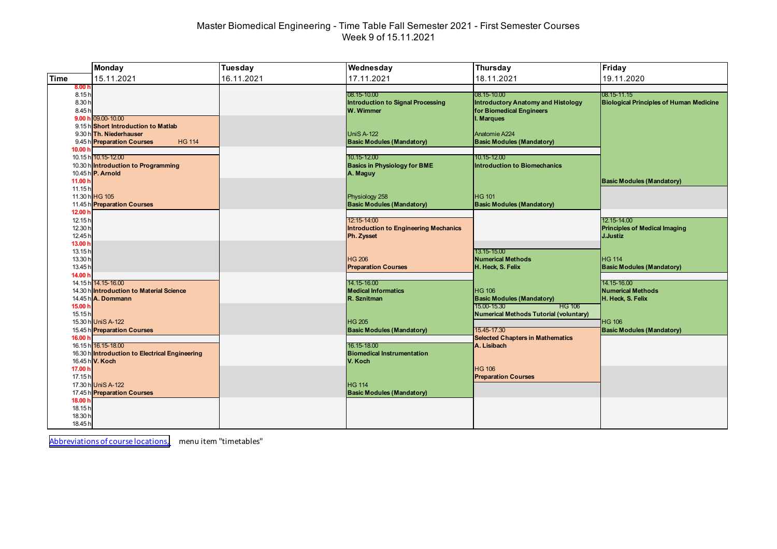# Master Biomedical Engineering - Time Table Fall Semester 2021 - First Semester Courses Week 9 of 15.11.2021

|                                                              | <b>Monday</b>                                                                                                                        | Tuesday    | Wednesday                                                                                                     | Thursday                                                                                                             | Friday                                                                 |
|--------------------------------------------------------------|--------------------------------------------------------------------------------------------------------------------------------------|------------|---------------------------------------------------------------------------------------------------------------|----------------------------------------------------------------------------------------------------------------------|------------------------------------------------------------------------|
| <b>Time</b>                                                  | 15.11.2021                                                                                                                           | 16.11.2021 | 17.11.2021                                                                                                    | 18.11.2021                                                                                                           | 19.11.2020                                                             |
| 8.00 <sub>1</sub><br>8.15h<br>8.30 h<br>8.45h                | 9.00 h 09.00-10.00                                                                                                                   |            | 08.15-10.00<br><b>Introduction to Signal Processing</b><br>W. Wimmer                                          | 08.15-10.00<br>Introductory Anatomy and Histology<br>for Biomedical Engineers<br>I. Marques                          | 08.15-11.15<br><b>Biological Principles of Human Medicine</b>          |
| 10.00 <sub>1</sub>                                           | 9.15 h Short Introduction to Matlab<br>9.30 h Th. Niederhauser<br>9.45 h Preparation Courses<br><b>HG 114</b><br>10.15 h 10.15-12.00 |            | <b>UniS A-122</b><br><b>Basic Modules (Mandatory)</b><br>10.15-12.00                                          | Anatomie A224<br><b>Basic Modules (Mandatory)</b><br>10.15-12.00                                                     |                                                                        |
| 11.00 h<br>11.15h                                            | 10.30 h Introduction to Programming<br>10.45 h P. Arnold<br>11.30 h HG 105                                                           |            | <b>Basics in Physiology for BME</b><br>A. Maguy<br>Physiology 258                                             | Introduction to Biomechanics<br><b>HG 101</b>                                                                        | <b>Basic Modules (Mandatory)</b>                                       |
| 12.00 <sub>h</sub><br>12.15h<br>12.30 h<br>12.45h<br>13.00 h | 11.45 h Preparation Courses                                                                                                          |            | <b>Basic Modules (Mandatory)</b><br>12:15-14:00<br><b>Introduction to Engineering Mechanics</b><br>Ph. Zysset | <b>Basic Modules (Mandatory)</b>                                                                                     | 12.15-14.00<br><b>Principles of Medical Imaging</b><br><b>J.Justiz</b> |
| 13.15h<br>13.30 h<br>13.45h<br>14.00 h                       |                                                                                                                                      |            | <b>HG 206</b><br><b>Preparation Courses</b>                                                                   | 13.15-15.00<br><b>Numerical Methods</b><br>H. Heck, S. Felix                                                         | <b>HG 114</b><br><b>Basic Modules (Mandatory)</b>                      |
| 15.00 h<br>15.15h                                            | 14.15 h 14.15-16.00<br>14.30 h Introduction to Material Science<br>14.45 h A. Dommann                                                |            | 14.15-16.00<br><b>Medical Informatics</b><br>R. Sznitman<br><b>HG 205</b>                                     | <b>HG</b> 106<br><b>Basic Modules (Mandatory)</b><br>15.00-15.30<br>HG 106<br>Numerical Methods Tutorial (voluntary) | 14.15-16.00<br><b>Numerical Methods</b><br>H. Heck, S. Felix           |
| 16.00 h                                                      | 15.30 h UniS A-122<br>15.45 h Preparation Courses<br>16.15 h 16.15-18.00<br>16.30 h Introduction to Electrical Engineering           |            | <b>Basic Modules (Mandatory)</b><br>16.15-18.00<br><b>Biomedical Instrumentation</b>                          | 15.45-17.30<br><b>Selected Chapters in Mathematics</b><br>A. Lisibach                                                | <b>HG 106</b><br><b>Basic Modules (Mandatory)</b>                      |
| 17.00 h<br>17.15h                                            | 16.45 h V. Koch<br>17.30 h UniS A-122<br>17.45 h Preparation Courses                                                                 |            | V. Koch<br><b>HG 114</b><br><b>Basic Modules (Mandatory)</b>                                                  | <b>HG 106</b><br><b>Preparation Courses</b>                                                                          |                                                                        |
| 18.00 h<br>18.15h<br>18.30 h<br>18.45h                       |                                                                                                                                      |            |                                                                                                               |                                                                                                                      |                                                                        |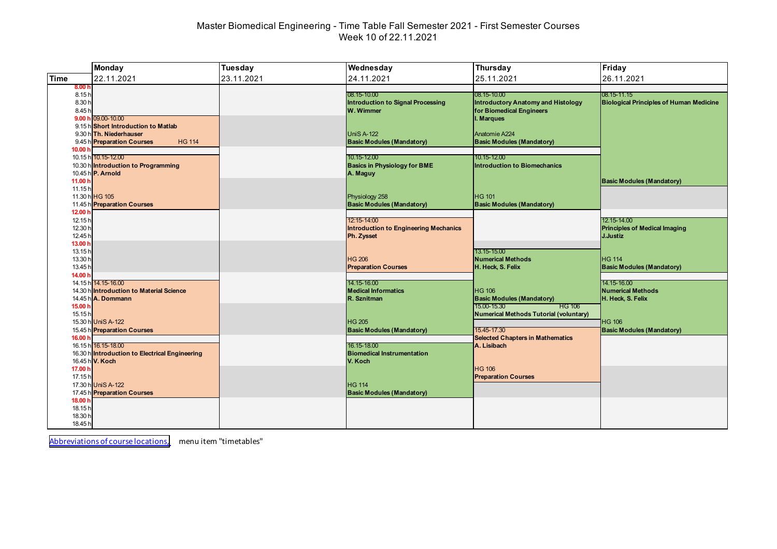# Master Biomedical Engineering - Time Table Fall Semester 2021 - First Semester Courses Week 10 of 22.11.2021

|                    | <b>Monday</b>                                  | Tuesday    | Wednesday                                             | Thursday                                                               | Friday                                         |
|--------------------|------------------------------------------------|------------|-------------------------------------------------------|------------------------------------------------------------------------|------------------------------------------------|
| <b>Time</b>        | 22.11.2021                                     | 23.11.2021 | 24.11.2021                                            | 25.11.2021                                                             | 26.11.2021                                     |
| 8.00h              |                                                |            |                                                       |                                                                        |                                                |
| 8.15h              |                                                |            | 08.15-10.00                                           | $ 08.15 - 10.00 $                                                      | 08.15-11.15                                    |
| 8.30h<br>8.45h     |                                                |            | <b>Introduction to Signal Processing</b><br>W. Wimmer | Introductory Anatomy and Histology<br>for Biomedical Engineers         | <b>Biological Principles of Human Medicine</b> |
|                    | 9.00 h 09.00-10.00                             |            |                                                       | I. Marques                                                             |                                                |
|                    | 9.15 h Short Introduction to Matlab            |            |                                                       |                                                                        |                                                |
|                    | 9.30 h Th. Niederhauser                        |            | <b>UniS A-122</b>                                     | Anatomie A224                                                          |                                                |
|                    | 9.45 h Preparation Courses<br><b>HG 114</b>    |            | <b>Basic Modules (Mandatory)</b>                      | <b>Basic Modules (Mandatory)</b>                                       |                                                |
| 10.00 <sub>1</sub> |                                                |            |                                                       |                                                                        |                                                |
|                    | 10.15 h 10.15-12.00                            |            | 10.15-12.00                                           | 10.15-12.00                                                            |                                                |
|                    | 10.30 h Introduction to Programming            |            | <b>Basics in Physiology for BME</b>                   | Introduction to Biomechanics                                           |                                                |
| 11.00 h            | 10.45 h P. Arnold                              |            | A. Maguy                                              |                                                                        | <b>Basic Modules (Mandatory)</b>               |
| 11.15h             |                                                |            |                                                       |                                                                        |                                                |
|                    | 11.30 h HG 105                                 |            | Physiology 258                                        | <b>HG 101</b>                                                          |                                                |
|                    | 11.45 h Preparation Courses                    |            | <b>Basic Modules (Mandatory)</b>                      | <b>Basic Modules (Mandatory)</b>                                       |                                                |
| 12.00 h            |                                                |            |                                                       |                                                                        |                                                |
| 12.15h             |                                                |            | 12:15-14:00                                           |                                                                        | 12.15-14.00                                    |
| 12.30 h            |                                                |            | <b>Introduction to Engineering Mechanics</b>          |                                                                        | <b>Principles of Medical Imaging</b>           |
| 12.45h<br>13.00 h  |                                                |            | Ph. Zysset                                            |                                                                        | J.Justiz                                       |
| 13.15h             |                                                |            |                                                       | 13.15-15.00                                                            |                                                |
| 13.30 h            |                                                |            | <b>HG 206</b>                                         | <b>Numerical Methods</b>                                               | <b>HG 114</b>                                  |
| 13.45h             |                                                |            | <b>Preparation Courses</b>                            | H. Heck, S. Felix                                                      | <b>Basic Modules (Mandatory)</b>               |
| 14.00 h            |                                                |            |                                                       |                                                                        |                                                |
|                    | 14.15 h 14.15-16.00                            |            | 14.15-16.00                                           |                                                                        | 14.15-16.00                                    |
|                    | 14.30 h Introduction to Material Science       |            | <b>Medical Informatics</b>                            | <b>HG 106</b>                                                          | <b>Numerical Methods</b>                       |
|                    | 14.45 h A. Dommann                             |            | R. Sznitman                                           | <b>Basic Modules (Mandatory)</b>                                       | H. Heck, S. Felix                              |
| 15.00 h<br>15.15h  |                                                |            |                                                       | 15.00-15.30<br><b>HG 106</b><br>Numerical Methods Tutorial (voluntary) |                                                |
|                    | 15.30 h UniS A-122                             |            | <b>HG 205</b>                                         |                                                                        | <b>HG 106</b>                                  |
|                    | 15.45 h Preparation Courses                    |            | <b>Basic Modules (Mandatory)</b>                      | 15.45-17.30                                                            | <b>Basic Modules (Mandatory)</b>               |
| 16.00 h            |                                                |            |                                                       | <b>Selected Chapters in Mathematics</b>                                |                                                |
|                    | 16.15 h 16.15-18.00                            |            | 16.15-18.00                                           | A. Lisibach                                                            |                                                |
|                    | 16.30 h Introduction to Electrical Engineering |            | <b>Biomedical Instrumentation</b>                     |                                                                        |                                                |
|                    | 16.45 h V. Koch                                |            | V. Koch                                               |                                                                        |                                                |
| 17.00 h<br>17.15h  |                                                |            |                                                       | <b>HG 106</b><br><b>Preparation Courses</b>                            |                                                |
|                    | 17.30 h UniS A-122                             |            | <b>HG 114</b>                                         |                                                                        |                                                |
|                    | 17.45 h Preparation Courses                    |            | <b>Basic Modules (Mandatory)</b>                      |                                                                        |                                                |
| 18.00 h            |                                                |            |                                                       |                                                                        |                                                |
| 18.15h             |                                                |            |                                                       |                                                                        |                                                |
| 18.30 h            |                                                |            |                                                       |                                                                        |                                                |
| 18.45h             |                                                |            |                                                       |                                                                        |                                                |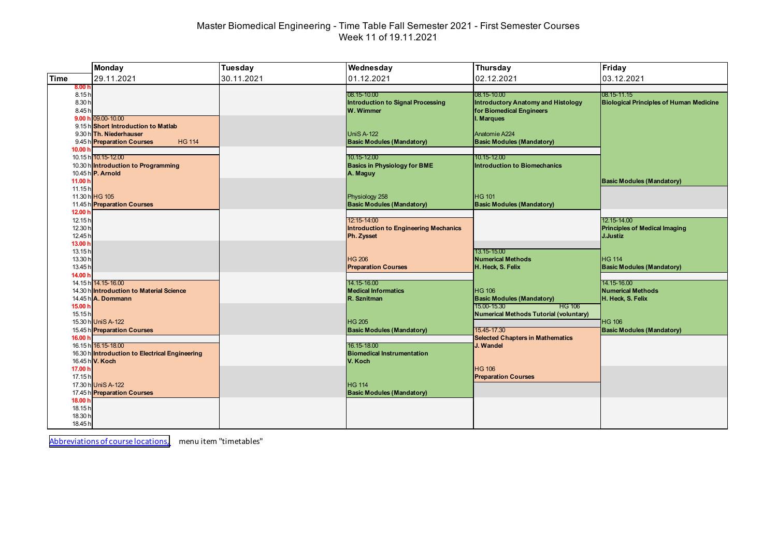# Master Biomedical Engineering - Time Table Fall Semester 2021 - First Semester Courses Week 11 of 19.11.2021

|                    | <b>Monday</b>                                                   | Tuesday    | Wednesday                                          | Thursday                                          | Friday                                         |
|--------------------|-----------------------------------------------------------------|------------|----------------------------------------------------|---------------------------------------------------|------------------------------------------------|
| <b>Time</b>        | 29.11.2021                                                      | 30.11.2021 | 01.12.2021                                         | 02.12.2021                                        | 03.12.2021                                     |
| 8.00 <sub>h</sub>  |                                                                 |            |                                                    |                                                   |                                                |
| 8.15h              |                                                                 |            | 08.15-10.00                                        | $ 08.15 - 10.00 $                                 | 08.15-11.15                                    |
| 8.30 h             |                                                                 |            | <b>Introduction to Signal Processing</b>           | Introductory Anatomy and Histology                | <b>Biological Principles of Human Medicine</b> |
| 8.45h              | 9.00 h 09.00-10.00                                              |            | W. Wimmer                                          | for Biomedical Engineers<br>I. Marques            |                                                |
|                    | 9.15 h Short Introduction to Matlab                             |            |                                                    |                                                   |                                                |
|                    | 9.30 h Th. Niederhauser                                         |            | <b>UniS A-122</b>                                  | Anatomie A224                                     |                                                |
|                    | 9.45 h Preparation Courses<br><b>HG 114</b>                     |            | <b>Basic Modules (Mandatory)</b>                   | <b>Basic Modules (Mandatory)</b>                  |                                                |
| 10.00 <sub>1</sub> |                                                                 |            |                                                    |                                                   |                                                |
|                    | 10.15 h 10.15-12.00                                             |            | 10.15-12.00                                        | 10.15-12.00                                       |                                                |
|                    | 10.30 h Introduction to Programming                             |            | <b>Basics in Physiology for BME</b>                | Introduction to Biomechanics                      |                                                |
|                    | 10.45 h P. Arnold                                               |            | A. Maguy                                           |                                                   |                                                |
| 11.00 h            |                                                                 |            |                                                    |                                                   | <b>Basic Modules (Mandatory)</b>               |
| 11.15h             |                                                                 |            |                                                    |                                                   |                                                |
|                    | 11.30 h HG 105<br>11.45 h Preparation Courses                   |            | Physiology 258<br><b>Basic Modules (Mandatory)</b> | <b>HG 101</b><br><b>Basic Modules (Mandatory)</b> |                                                |
| 12.00 h            |                                                                 |            |                                                    |                                                   |                                                |
| 12.15h             |                                                                 |            | 12:15-14:00                                        |                                                   | 12.15-14.00                                    |
| 12.30 h            |                                                                 |            | <b>Introduction to Engineering Mechanics</b>       |                                                   | <b>Principles of Medical Imaging</b>           |
| 12.45h             |                                                                 |            | Ph. Zysset                                         |                                                   | J.Justiz                                       |
| 13.00 h            |                                                                 |            |                                                    |                                                   |                                                |
| 13.15h             |                                                                 |            |                                                    | 13.15-15.00                                       |                                                |
| 13.30 h            |                                                                 |            | <b>HG 206</b>                                      | <b>Numerical Methods</b>                          | <b>HG 114</b>                                  |
| 13.45h             |                                                                 |            | <b>Preparation Courses</b>                         | H. Heck, S. Felix                                 | <b>Basic Modules (Mandatory)</b>               |
| 14.00 h            |                                                                 |            |                                                    |                                                   |                                                |
|                    | 14.15 h 14.15-16.00<br>14.30 h Introduction to Material Science |            | 14.15-16.00<br><b>Medical Informatics</b>          | <b>HG 106</b>                                     | 14.15-16.00<br><b>Numerical Methods</b>        |
|                    | 14.45 h A. Dommann                                              |            | R. Sznitman                                        | <b>Basic Modules (Mandatory)</b>                  | H. Heck, S. Felix                              |
| 15.00 h            |                                                                 |            |                                                    | 15.00-15.30<br><b>HG 106</b>                      |                                                |
| 15.15h             |                                                                 |            |                                                    | Numerical Methods Tutorial (voluntary)            |                                                |
|                    | 15.30 h UniS A-122                                              |            | <b>HG 205</b>                                      |                                                   | <b>HG 106</b>                                  |
|                    | 15.45 h Preparation Courses                                     |            | <b>Basic Modules (Mandatory)</b>                   | 15.45-17.30                                       | <b>Basic Modules (Mandatory)</b>               |
| 16.00 h            |                                                                 |            |                                                    | <b>Selected Chapters in Mathematics</b>           |                                                |
|                    | 16.15 h 16.15-18.00                                             |            | 16.15-18.00                                        | J. Wandel                                         |                                                |
|                    | 16.30 h Introduction to Electrical Engineering                  |            | <b>Biomedical Instrumentation</b>                  |                                                   |                                                |
|                    | 16.45 h V. Koch                                                 |            | V. Koch                                            |                                                   |                                                |
| 17.00 h<br>17.15h  |                                                                 |            |                                                    | <b>HG 106</b>                                     |                                                |
|                    | 17.30 h UniS A-122                                              |            | <b>HG 114</b>                                      | <b>Preparation Courses</b>                        |                                                |
|                    | 17.45 h Preparation Courses                                     |            | <b>Basic Modules (Mandatory)</b>                   |                                                   |                                                |
| 18.00 h            |                                                                 |            |                                                    |                                                   |                                                |
| 18.15h             |                                                                 |            |                                                    |                                                   |                                                |
| 18.30 h            |                                                                 |            |                                                    |                                                   |                                                |
| 18.45h             |                                                                 |            |                                                    |                                                   |                                                |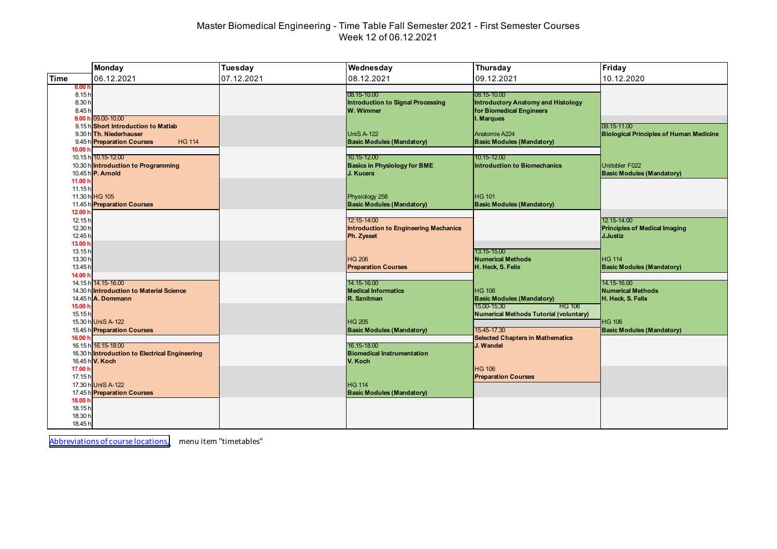# Master Biomedical Engineering - Time Table Fall Semester 2021 - First Semester Courses Week 12 of 06.12.2021

|                                                                       | <b>Monday</b>                                                                                                                                              | <b>Tuesday</b> | Wednesday                                                                                                                                    | Thursday                                                                                                                                                               | Friday                                                                                                                      |
|-----------------------------------------------------------------------|------------------------------------------------------------------------------------------------------------------------------------------------------------|----------------|----------------------------------------------------------------------------------------------------------------------------------------------|------------------------------------------------------------------------------------------------------------------------------------------------------------------------|-----------------------------------------------------------------------------------------------------------------------------|
| <b>Time</b>                                                           | 06.12.2021                                                                                                                                                 | 07.12.2021     | 08.12.2021                                                                                                                                   | 09.12.2021                                                                                                                                                             | 10.12.2020                                                                                                                  |
| 8.00h<br>8.15h<br>8.30h<br>8.45h<br>10.00 h                           | 9.00 h 09.00-10.00<br>9.15 h Short Introduction to Matlab<br>9.30 h Th. Niederhauser<br>9.45 h Preparation Courses<br><b>HG 114</b><br>10.15 h 10.15-12.00 |                | 08.15-10.00<br><b>Introduction to Signal Processing</b><br>W. Wimmer<br><b>UniS A-122</b><br><b>Basic Modules (Mandatory)</b><br>10.15-12.00 | 08.15-10.00<br><b>Introductory Anatomy and Histology</b><br>for Biomedical Engineers<br>I. Marques<br>Anatomie A224<br><b>Basic Modules (Mandatory)</b><br>10.15-12.00 | 09.15-11.00<br><b>Biological Principles of Human Medicine</b>                                                               |
| 11.00 h<br>11.15h<br>12.00 $r$                                        | 10.30 h Introduction to Programming<br>10.45 h P. Arnold<br>11.30 h HG 105<br>11.45 h Preparation Courses                                                  |                | <b>Basics in Physiology for BME</b><br>J. Kucera<br>Physiology 258<br><b>Basic Modules (Mandatory)</b>                                       | <b>Introduction to Biomechanics</b><br><b>HG 101</b><br><b>Basic Modules (Mandatory)</b>                                                                               | Unitobler F022<br><b>Basic Modules (Mandatory)</b>                                                                          |
| 12.15h<br>12.30 h<br>12.45h<br>13.00 h<br>13.15h<br>13.30 h<br>13.45h |                                                                                                                                                            |                | 12:15-14:00<br><b>Introduction to Engineering Mechanics</b><br>Ph. Zysset<br><b>HG 206</b><br><b>Preparation Courses</b>                     | 13.15-15.00<br><b>Numerical Methods</b><br>H. Heck, S. Felix                                                                                                           | 12.15-14.00<br><b>Principles of Medical Imaging</b><br><b>J.Justiz</b><br><b>HG 114</b><br><b>Basic Modules (Mandatory)</b> |
| 14.00 h<br>15.00 h<br>15.15h                                          | 14.15 h 14.15-16.00<br>14.30 h Introduction to Material Science<br>14.45 h A. Dommann<br>15.30 h UniS A-122<br>15.45 h Preparation Courses                 |                | 14.15-16.00<br><b>Medical Informatics</b><br>R. Sznitman<br><b>HG 205</b><br><b>Basic Modules (Mandatory)</b>                                | <b>HG 106</b><br><b>Basic Modules (Mandatory)</b><br>15.00-15.30<br>HG 106<br><b>Numerical Methods Tutorial (voluntary)</b><br>15.45-17.30                             | 14.15-16.00<br><b>Numerical Methods</b><br>H. Heck, S. Felix<br><b>HG 106</b><br><b>Basic Modules (Mandatory)</b>           |
| 16.00 h<br>17.00 h<br>17.15h                                          | 16.15 h 16.15-18.00<br>16.30 h Introduction to Electrical Engineering<br>16.45 h V. Koch<br>17.30 h UniS A-122<br>17.45 h Preparation Courses              |                | 16.15-18.00<br><b>Biomedical Instrumentation</b><br>V. Koch<br><b>HG 114</b><br><b>Basic Modules (Mandatory)</b>                             | <b>Selected Chapters in Mathematics</b><br>J. Wandel<br><b>HG 106</b><br><b>Preparation Courses</b>                                                                    |                                                                                                                             |
| 18.00 h<br>18.15h<br>18.30h<br>18.45h                                 |                                                                                                                                                            |                |                                                                                                                                              |                                                                                                                                                                        |                                                                                                                             |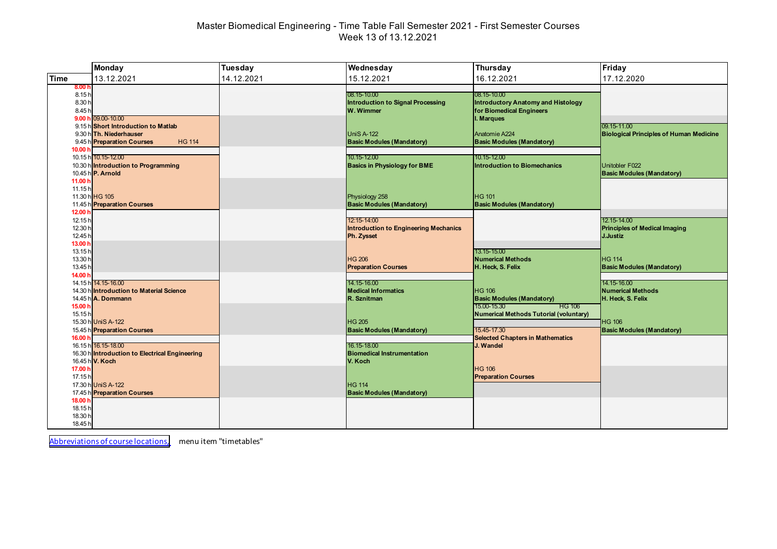# Master Biomedical Engineering - Time Table Fall Semester 2021 - First Semester Courses Week 13 of 13.12.2021

|                                                                       | <b>Monday</b>                                                                                                                                              | <b>Tuesday</b> | Wednesday                                                                                                                                    | Thursday                                                                                                                                                               | Friday                                                                                                                      |
|-----------------------------------------------------------------------|------------------------------------------------------------------------------------------------------------------------------------------------------------|----------------|----------------------------------------------------------------------------------------------------------------------------------------------|------------------------------------------------------------------------------------------------------------------------------------------------------------------------|-----------------------------------------------------------------------------------------------------------------------------|
| <b>Time</b>                                                           | 13.12.2021                                                                                                                                                 | 14.12.2021     | 15.12.2021                                                                                                                                   | 16.12.2021                                                                                                                                                             | 17.12.2020                                                                                                                  |
| 8.00h<br>8.15h<br>8.30h<br>8.45h<br>10.00 h                           | 9.00 h 09.00-10.00<br>9.15 h Short Introduction to Matlab<br>9.30 h Th. Niederhauser<br>9.45 h Preparation Courses<br><b>HG 114</b><br>10.15 h 10.15-12.00 |                | 08.15-10.00<br><b>Introduction to Signal Processing</b><br>W. Wimmer<br><b>UniS A-122</b><br><b>Basic Modules (Mandatory)</b><br>10.15-12.00 | 08.15-10.00<br><b>Introductory Anatomy and Histology</b><br>for Biomedical Engineers<br>I. Marques<br>Anatomie A224<br><b>Basic Modules (Mandatory)</b><br>10.15-12.00 | 09.15-11.00<br><b>Biological Principles of Human Medicine</b>                                                               |
| 11.00 h<br>11.15h<br>12.00 $r$                                        | 10.30 h Introduction to Programming<br>10.45 h P. Arnold<br>11.30 h HG 105<br>11.45 h Preparation Courses                                                  |                | <b>Basics in Physiology for BME</b><br>Physiology 258<br><b>Basic Modules (Mandatory)</b>                                                    | <b>Introduction to Biomechanics</b><br><b>HG 101</b><br><b>Basic Modules (Mandatory)</b>                                                                               | Unitobler F022<br><b>Basic Modules (Mandatory)</b>                                                                          |
| 12.15h<br>12.30 h<br>12.45h<br>13.00 h<br>13.15h<br>13.30 h<br>13.45h |                                                                                                                                                            |                | 12:15-14:00<br><b>Introduction to Engineering Mechanics</b><br>Ph. Zysset<br><b>HG 206</b><br><b>Preparation Courses</b>                     | 13.15-15.00<br><b>Numerical Methods</b><br>H. Heck, S. Felix                                                                                                           | 12.15-14.00<br><b>Principles of Medical Imaging</b><br><b>J.Justiz</b><br><b>HG 114</b><br><b>Basic Modules (Mandatory)</b> |
| 14.00 h<br>15.00 h<br>15.15h                                          | 14.15 h 14.15-16.00<br>14.30 h Introduction to Material Science<br>14.45 h A. Dommann<br>15.30 h UniS A-122<br>15.45 h Preparation Courses                 |                | 14.15-16.00<br><b>Medical Informatics</b><br>R. Sznitman<br><b>HG 205</b><br><b>Basic Modules (Mandatory)</b>                                | <b>HG 106</b><br><b>Basic Modules (Mandatory)</b><br>15.00-15.30<br><b>HG 106</b><br><b>Numerical Methods Tutorial (voluntary)</b><br>15.45-17.30                      | 14.15-16.00<br><b>Numerical Methods</b><br>H. Heck, S. Felix<br><b>HG 106</b><br><b>Basic Modules (Mandatory)</b>           |
| 16.00 h<br>17.00 h<br>17.15h                                          | 16.15 h 16.15-18.00<br>16.30 h Introduction to Electrical Engineering<br>16.45 h V. Koch<br>17.30 h UniS A-122<br>17.45 h Preparation Courses              |                | 16.15-18.00<br><b>Biomedical Instrumentation</b><br>V. Koch<br><b>HG 114</b><br><b>Basic Modules (Mandatory)</b>                             | <b>Selected Chapters in Mathematics</b><br>J. Wandel<br><b>HG 106</b><br><b>Preparation Courses</b>                                                                    |                                                                                                                             |
| 18.00 h<br>18.15h<br>18.30h<br>18.45h                                 |                                                                                                                                                            |                |                                                                                                                                              |                                                                                                                                                                        |                                                                                                                             |